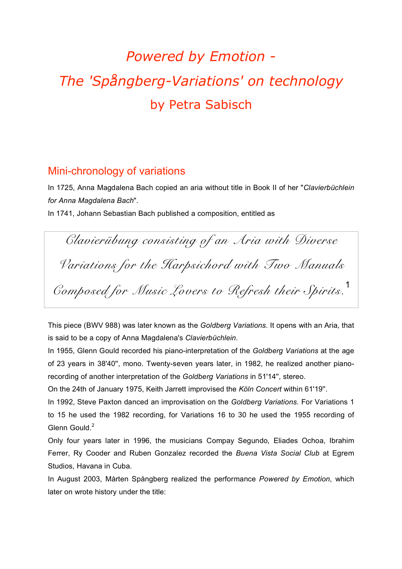# *Powered by Emotion* - *The 'Spångberg-Variations' on technology* by Petra Sabisch

## Mini-chronology of variations

In 1725, Anna Magdalena Bach copied an aria without title in Book II of her "*Clavierbüchlein for Anna Magdalena Bach*".

In 1741, Johann Sebastian Bach published a composition, entitled as

*Clavierübung consisting of an Aria with Diverse Variations for the Harpsichord with Two Manuals Composed for Music Lovers to Refresh their Spirits.* 1

This piece (BWV 988) was later known as the *Goldberg Variations*. It opens with an Aria, that is said to be a copy of Anna Magdalena's *Clavierbüchlein*.

In 1955, Glenn Gould recorded his piano-interpretation of the *Goldberg Variations* at the age of 23 years in 38'40'', mono. Twenty-seven years later, in 1982, he realized another pianorecording of another interpretation of the *Goldberg Variations* in 51'14'', stereo.

On the 24th of January 1975, Keith Jarrett improvised the *Köln Concert* within 61'19''.

In 1992, Steve Paxton danced an improvisation on the *Goldberg Variations*. For Variations 1 to 15 he used the 1982 recording, for Variations 16 to 30 he used the 1955 recording of Glenn Gould<sup>2</sup>

Only four years later in 1996, the musicians Compay Segundo, Eliades Ochoa, Ibrahim Ferrer, Ry Cooder and Ruben Gonzalez recorded the *Buena Vista Social Club* at Egrem Studios, Havana in Cuba.

In August 2003, Mårten Spångberg realized the performance *Powered by Emotion*, which later on wrote history under the title: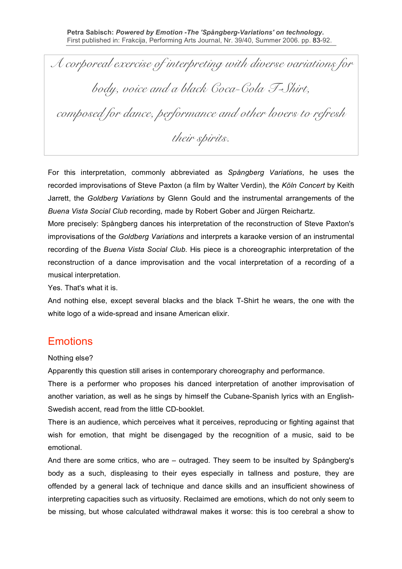*A corporeal exercise of interpreting with diverse variations for body, voice and a black Coca-Cola T-Shirt, composed for dance, performance and other lovers to refresh their spirits.*

For this interpretation, commonly abbreviated as *Spångberg Variations*, he uses the recorded improvisations of Steve Paxton (a film by Walter Verdin), the *Köln Concert* by Keith Jarrett, the *Goldberg Variations* by Glenn Gould and the instrumental arrangements of the *Buena Vista Social Club* recording, made by Robert Gober and Jürgen Reichartz.

More precisely: Spångberg dances his interpretation of the reconstruction of Steve Paxton's improvisations of the *Goldberg Variations* and interprets a karaoke version of an instrumental recording of the *Buena Vista Social Club*. His piece is a choreographic interpretation of the reconstruction of a dance improvisation and the vocal interpretation of a recording of a musical interpretation.

Yes. That's what it is.

And nothing else, except several blacks and the black T-Shirt he wears, the one with the white logo of a wide-spread and insane American elixir.

#### **Emotions**

Nothing else?

Apparently this question still arises in contemporary choreography and performance.

There is a performer who proposes his danced interpretation of another improvisation of another variation, as well as he sings by himself the Cubane-Spanish lyrics with an English-Swedish accent, read from the little CD-booklet.

There is an audience, which perceives what it perceives, reproducing or fighting against that wish for emotion, that might be disengaged by the recognition of a music, said to be emotional.

And there are some critics, who are – outraged. They seem to be insulted by Spångberg's body as a such, displeasing to their eyes especially in tallness and posture, they are offended by a general lack of technique and dance skills and an insufficient showiness of interpreting capacities such as virtuosity. Reclaimed are emotions, which do not only seem to be missing, but whose calculated withdrawal makes it worse: this is too cerebral a show to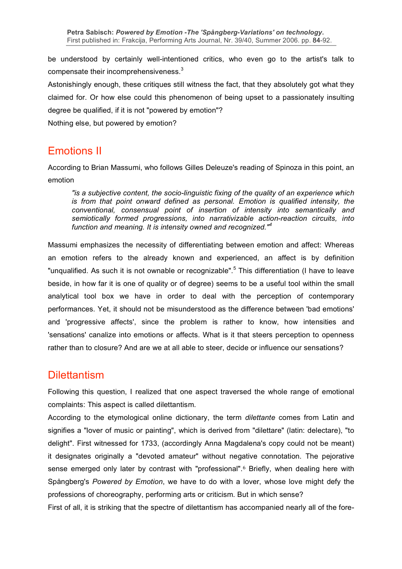be understood by certainly well-intentioned critics, who even go to the artist's talk to compensate their incomprehensiveness. $3$ 

Astonishingly enough, these critiques still witness the fact, that they absolutely got what they claimed for. Or how else could this phenomenon of being upset to a passionately insulting degree be qualified, if it is not "powered by emotion"?

Nothing else, but powered by emotion?

## Emotions II

According to Brian Massumi, who follows Gilles Deleuze's reading of Spinoza in this point, an emotion

*"is a subjective content, the socio-linguistic fixing of the quality of an experience which is from that point onward defined as personal. Emotion is qualified intensity, the conventional, consensual point of insertion of intensity into semantically and semiotically formed progressions, into narrativizable action-reaction circuits, into function and meaning. It is intensity owned and recognized." 4*

Massumi emphasizes the necessity of differentiating between emotion and affect: Whereas an emotion refers to the already known and experienced, an affect is by definition "unqualified. As such it is not ownable or recognizable".<sup>5</sup> This differentiation (I have to leave beside, in how far it is one of quality or of degree) seems to be a useful tool within the small analytical tool box we have in order to deal with the perception of contemporary performances. Yet, it should not be misunderstood as the difference between 'bad emotions' and 'progressive affects', since the problem is rather to know, how intensities and 'sensations' canalize into emotions or affects. What is it that steers perception to openness rather than to closure? And are we at all able to steer, decide or influence our sensations?

#### **Dilettantism**

Following this question, I realized that one aspect traversed the whole range of emotional complaints: This aspect is called dilettantism.

According to the etymological online dictionary, the term *dilettante* comes from Latin and signifies a "lover of music or painting", which is derived from "dilettare" (latin: delectare), "to delight". First witnessed for 1733, (accordingly Anna Magdalena's copy could not be meant) it designates originally a "devoted amateur" without negative connotation. The pejorative sense emerged only later by contrast with "professional".<sup>6</sup> Briefly, when dealing here with Spångberg's *Powered by Emotion*, we have to do with a lover, whose love might defy the professions of choreography, performing arts or criticism. But in which sense?

First of all, it is striking that the spectre of dilettantism has accompanied nearly all of the fore-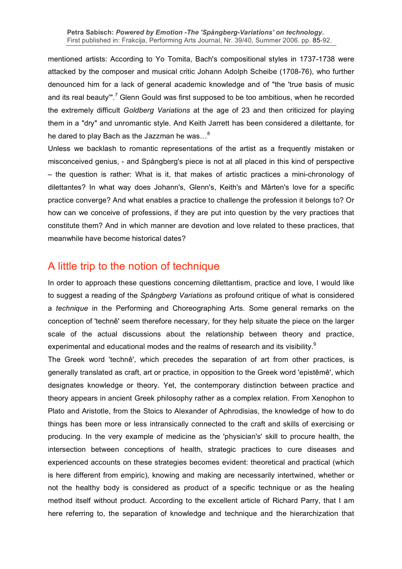mentioned artists: According to Yo Tomita, Bach's compositional styles in 1737-1738 were attacked by the composer and musical critic Johann Adolph Scheibe (1708-76), who further denounced him for a lack of general academic knowledge and of "the 'true basis of music and its real beauty"'.<sup>7</sup> Glenn Gould was first supposed to be too ambitious, when he recorded the extremely difficult *Goldberg Variations* at the age of 23 and then criticized for playing them in a "dry" and unromantic style. And Keith Jarrett has been considered a dilettante, for he dared to play Bach as the Jazzman he was…<sup>8</sup>

Unless we backlash to romantic representations of the artist as a frequently mistaken or misconceived genius, - and Spångberg's piece is not at all placed in this kind of perspective – the question is rather: What is it, that makes of artistic practices a mini-chronology of dilettantes? In what way does Johann's, Glenn's, Keith's and Mârten's love for a specific practice converge? And what enables a practice to challenge the profession it belongs to? Or how can we conceive of professions, if they are put into question by the very practices that constitute them? And in which manner are devotion and love related to these practices, that meanwhile have become historical dates?

## A little trip to the notion of technique

In order to approach these questions concerning dilettantism, practice and love, I would like to suggest a reading of the *Spångberg Variations* as profound critique of what is considered a *technique* in the Performing and Choreographing Arts. Some general remarks on the conception of 'technê' seem therefore necessary, for they help situate the piece on the larger scale of the actual discussions about the relationship between theory and practice, experimental and educational modes and the realms of research and its visibility.<sup>9</sup>

The Greek word 'technê', which precedes the separation of art from other practices, is generally translated as craft, art or practice, in opposition to the Greek word 'epistêmê', which designates knowledge or theory. Yet, the contemporary distinction between practice and theory appears in ancient Greek philosophy rather as a complex relation. From Xenophon to Plato and Aristotle, from the Stoics to Alexander of Aphrodisias, the knowledge of how to do things has been more or less intransically connected to the craft and skills of exercising or producing. In the very example of medicine as the 'physician's' skill to procure health, the intersection between conceptions of health, strategic practices to cure diseases and experienced accounts on these strategies becomes evident: theoretical and practical (which is here different from empiric), knowing and making are necessarily intertwined, whether or not the healthy body is considered as product of a specific technique or as the healing method itself without product. According to the excellent article of Richard Parry, that I am here referring to, the separation of knowledge and technique and the hierarchization that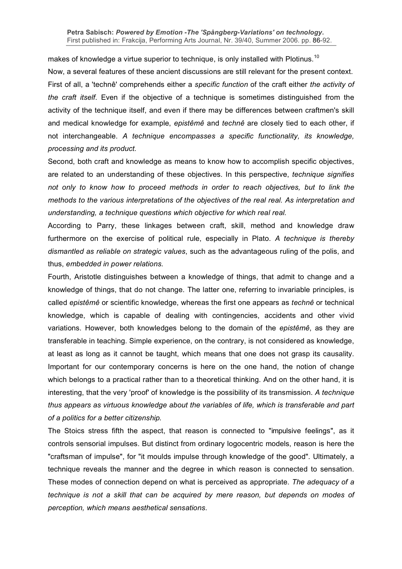makes of knowledge a virtue superior to technique, is only installed with Plotinus.<sup>10</sup>

Now, a several features of these ancient discussions are still relevant for the present context. First of all, a 'technê' comprehends either a *specific function* of the craft either *the activity of the craft itself*. Even if the objective of a technique is sometimes distinguished from the activity of the technique itself, and even if there may be differences between craftmen's skill and medical knowledge for example, *epistêmê* and *technê* are closely tied to each other, if not interchangeable. *A technique encompasses a specific functionality, its knowledge, processing and its product.*

Second, both craft and knowledge as means to know how to accomplish specific objectives, are related to an understanding of these objectives. In this perspective, *technique signifies not only to know how to proceed methods in order to reach objectives, but to link the methods to the various interpretations of the objectives of the real real. As interpretation and understanding, a technique questions which objective for which real real.*

According to Parry, these linkages between craft, skill, method and knowledge draw furthermore on the exercise of political rule, especially in Plato. *A technique is thereby dismantled as reliable on strategic values*, such as the advantageous ruling of the polis, and thus, *embedded in power relations.*

Fourth, Aristotle distinguishes between a knowledge of things, that admit to change and a knowledge of things, that do not change. The latter one, referring to invariable principles, is called *epistêmê* or scientific knowledge, whereas the first one appears as *technê* or technical knowledge, which is capable of dealing with contingencies, accidents and other vivid variations. However, both knowledges belong to the domain of the *epistêmê*, as they are transferable in teaching. Simple experience, on the contrary, is not considered as knowledge, at least as long as it cannot be taught, which means that one does not grasp its causality. Important for our contemporary concerns is here on the one hand, the notion of change which belongs to a practical rather than to a theoretical thinking. And on the other hand, it is interesting, that the very 'proof' of knowledge is the possibility of its transmission. *A technique thus appears as virtuous knowledge about the variables of life, which is transferable and part of a politics for a better citizenship.*

The Stoics stress fifth the aspect, that reason is connected to "impulsive feelings", as it controls sensorial impulses. But distinct from ordinary logocentric models, reason is here the "craftsman of impulse", for "it moulds impulse through knowledge of the good". Ultimately, a technique reveals the manner and the degree in which reason is connected to sensation. These modes of connection depend on what is perceived as appropriate. *The adequacy of a technique is not a skill that can be acquired by mere reason, but depends on modes of perception, which means aesthetical sensations*.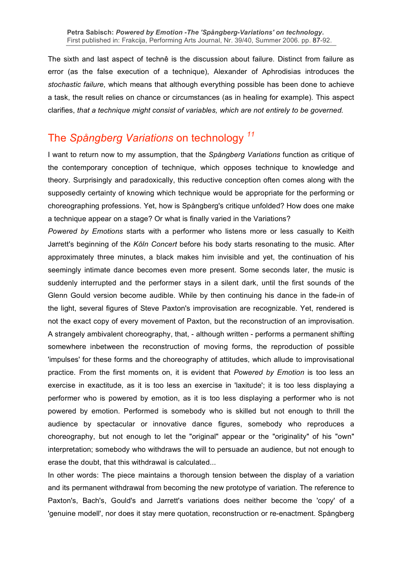The sixth and last aspect of technê is the discussion about failure. Distinct from failure as error (as the false execution of a technique), Alexander of Aphrodisias introduces the *stochastic failure*, which means that although everything possible has been done to achieve a task, the result relies on chance or circumstances (as in healing for example). This aspect clarifies, *that a technique might consist of variables, which are not entirely to be governed.*

# The *Spångberg Variations* on technology *<sup>11</sup>*

I want to return now to my assumption, that the *Spångberg Variations* function as critique of the contemporary conception of technique, which opposes technique to knowledge and theory. Surprisingly and paradoxically, this reductive conception often comes along with the supposedly certainty of knowing which technique would be appropriate for the performing or choreographing professions. Yet, how is Spångberg's critique unfolded? How does one make a technique appear on a stage? Or what is finally varied in the Variations?

*Powered by Emotions* starts with a performer who listens more or less casually to Keith Jarrett's beginning of the *Köln Concert* before his body starts resonating to the music. After approximately three minutes, a black makes him invisible and yet, the continuation of his seemingly intimate dance becomes even more present. Some seconds later, the music is suddenly interrupted and the performer stays in a silent dark, until the first sounds of the Glenn Gould version become audible. While by then continuing his dance in the fade-in of the light, several figures of Steve Paxton's improvisation are recognizable. Yet, rendered is not the exact copy of every movement of Paxton, but the reconstruction of an improvisation. A strangely ambivalent choreography, that, - although written - performs a permanent shifting somewhere inbetween the reconstruction of moving forms, the reproduction of possible 'impulses' for these forms and the choreography of attitudes, which allude to improvisational practice. From the first moments on, it is evident that *Powered by Emotion* is too less an exercise in exactitude, as it is too less an exercise in 'laxitude'; it is too less displaying a performer who is powered by emotion, as it is too less displaying a performer who is not powered by emotion. Performed is somebody who is skilled but not enough to thrill the audience by spectacular or innovative dance figures, somebody who reproduces a choreography, but not enough to let the "original" appear or the "originality" of his "own" interpretation; somebody who withdraws the will to persuade an audience, but not enough to erase the doubt, that this withdrawal is calculated...

In other words: The piece maintains a thorough tension between the display of a variation and its permanent withdrawal from becoming the new prototype of variation. The reference to Paxton's, Bach's, Gould's and Jarrett's variations does neither become the 'copy' of a 'genuine modell', nor does it stay mere quotation, reconstruction or re-enactment. Spångberg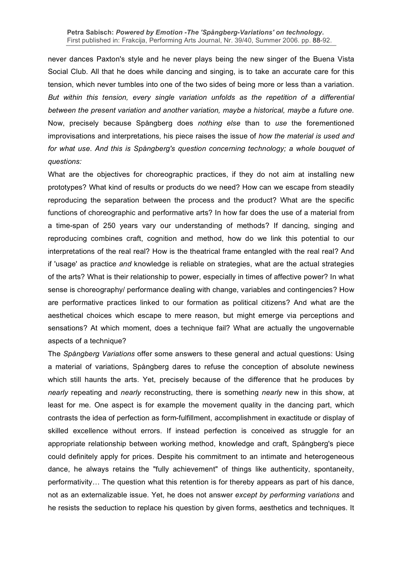never dances Paxton's style and he never plays being the new singer of the Buena Vista Social Club. All that he does while dancing and singing, is to take an accurate care for this tension, which never tumbles into one of the two sides of being more or less than a variation. *But within this tension, every single variation unfolds as the repetition of a differential between the present variation and another variation, maybe a historical, maybe a future one.* Now, precisely because Spångberg does *nothing else* than to *use* the forementioned improvisations and interpretations*,* his piece raises the issue of *how the material is used and for what use*. *And this is Spångberg's question concerning technology; a whole bouquet of questions:*

What are the objectives for choreographic practices, if they do not aim at installing new prototypes? What kind of results or products do we need? How can we escape from steadily reproducing the separation between the process and the product? What are the specific functions of choreographic and performative arts? In how far does the use of a material from a time-span of 250 years vary our understanding of methods? If dancing, singing and reproducing combines craft, cognition and method, how do we link this potential to our interpretations of the real real? How is the theatrical frame entangled with the real real? And if 'usage' as practice *and* knowledge is reliable on strategies, what are the actual strategies of the arts? What is their relationship to power, especially in times of affective power? In what sense is choreography/ performance dealing with change, variables and contingencies? How are performative practices linked to our formation as political citizens? And what are the aesthetical choices which escape to mere reason, but might emerge via perceptions and sensations? At which moment, does a technique fail? What are actually the ungovernable aspects of a technique?

The *Spångberg Variations* offer some answers to these general and actual questions: Using a material of variations, Spångberg dares to refuse the conception of absolute newiness which still haunts the arts. Yet, precisely because of the difference that he produces by *nearly* repeating and *nearly* reconstructing, there is something *nearly* new in this show, at least for me. One aspect is for example the movement quality in the dancing part, which contrasts the idea of perfection as form-fulfillment, accomplishment in exactitude or display of skilled excellence without errors. If instead perfection is conceived as struggle for an appropriate relationship between working method, knowledge and craft, Spångberg's piece could definitely apply for prices. Despite his commitment to an intimate and heterogeneous dance, he always retains the "fully achievement" of things like authenticity, spontaneity, performativity… The question what this retention is for thereby appears as part of his dance, not as an externalizable issue. Yet, he does not answer *except by performing variations* and he resists the seduction to replace his question by given forms, aesthetics and techniques. It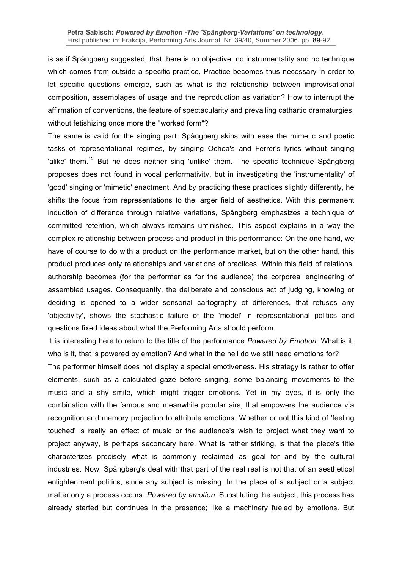is as if Spångberg suggested, that there is no objective, no instrumentality and no technique which comes from outside a specific practice. Practice becomes thus necessary in order to let specific questions emerge, such as what is the relationship between improvisational composition, assemblages of usage and the reproduction as variation? How to interrupt the affirmation of conventions, the feature of spectacularity and prevailing cathartic dramaturgies, without fetishizing once more the "worked form"?

The same is valid for the singing part: Spångberg skips with ease the mimetic and poetic tasks of representational regimes, by singing Ochoa's and Ferrer's lyrics wihout singing 'alike' them.<sup>12</sup> But he does neither sing 'unlike' them. The specific technique Spångberg proposes does not found in vocal performativity, but in investigating the 'instrumentality' of 'good' singing or 'mimetic' enactment. And by practicing these practices slightly differently, he shifts the focus from representations to the larger field of aesthetics. With this permanent induction of difference through relative variations, Spångberg emphasizes a technique of committed retention, which always remains unfinished. This aspect explains in a way the complex relationship between process and product in this performance: On the one hand, we have of course to do with a product on the performance market, but on the other hand, this product produces only relationships and variations of practices. Within this field of relations, authorship becomes (for the performer as for the audience) the corporeal engineering of assembled usages. Consequently, the deliberate and conscious act of judging, knowing or deciding is opened to a wider sensorial cartography of differences, that refuses any 'objectivity', shows the stochastic failure of the 'model' in representational politics and questions fixed ideas about what the Performing Arts should perform.

It is interesting here to return to the title of the performance *Powered by Emotion*. What is it, who is it, that is powered by emotion? And what in the hell do we still need emotions for?

The performer himself does not display a special emotiveness. His strategy is rather to offer elements, such as a calculated gaze before singing, some balancing movements to the music and a shy smile, which might trigger emotions. Yet in my eyes, it is only the combination with the famous and meanwhile popular airs, that empowers the audience via recognition and memory projection to attribute emotions. Whether or not this kind of 'feeling touched' is really an effect of music or the audience's wish to project what they want to project anyway, is perhaps secondary here. What is rather striking, is that the piece's title characterizes precisely what is commonly reclaimed as goal for and by the cultural industries. Now, Spångberg's deal with that part of the real real is not that of an aesthetical enlightenment politics, since any subject is missing. In the place of a subject or a subject matter only a process cccurs: *Powered by emotion*. Substituting the subject, this process has already started but continues in the presence; like a machinery fueled by emotions. But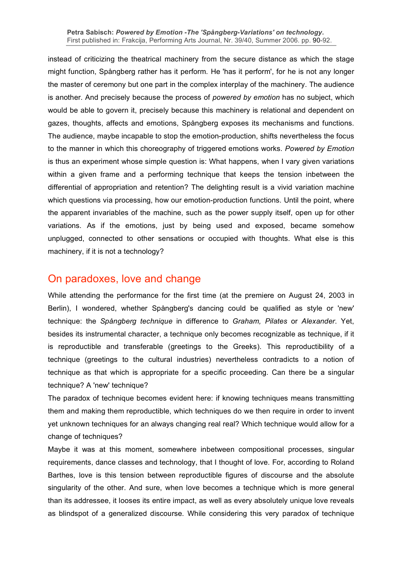#### **Petra Sabisch:** *Powered by Emotion -The 'Spångberg-Variations' on technology***.** First published in: Frakcija, Performing Arts Journal, Nr. 39/40, Summer 2006. pp. 90-92.

instead of criticizing the theatrical machinery from the secure distance as which the stage might function, Spångberg rather has it perform. He 'has it perform', for he is not any longer the master of ceremony but one part in the complex interplay of the machinery. The audience is another. And precisely because the process of *powered by emotion* has no subject, which would be able to govern it, precisely because this machinery is relational and dependent on gazes, thoughts, affects and emotions, Spångberg exposes its mechanisms and functions. The audience, maybe incapable to stop the emotion-production, shifts nevertheless the focus to the manner in which this choreography of triggered emotions works. *Powered by Emotion* is thus an experiment whose simple question is: What happens, when I vary given variations within a given frame and a performing technique that keeps the tension inbetween the differential of appropriation and retention? The delighting result is a vivid variation machine which questions via processing, how our emotion-production functions. Until the point, where the apparent invariables of the machine, such as the power supply itself, open up for other variations. As if the emotions, just by being used and exposed, became somehow unplugged, connected to other sensations or occupied with thoughts. What else is this machinery, if it is not a technology?

#### On paradoxes, love and change

While attending the performance for the first time (at the premiere on August 24, 2003 in Berlin), I wondered, whether Spångberg's dancing could be qualified as style or 'new' technique: the *Spångberg technique* in difference to *Graham, Pilates* or *Alexander*. Yet, besides its instrumental character, a technique only becomes recognizable as technique, if it is reproductible and transferable (greetings to the Greeks). This reproductibility of a technique (greetings to the cultural industries) nevertheless contradicts to a notion of technique as that which is appropriate for a specific proceeding. Can there be a singular technique? A 'new' technique?

The paradox of technique becomes evident here: if knowing techniques means transmitting them and making them reproductible, which techniques do we then require in order to invent yet unknown techniques for an always changing real real? Which technique would allow for a change of techniques?

Maybe it was at this moment, somewhere inbetween compositional processes, singular requirements, dance classes and technology, that I thought of love. For, according to Roland Barthes, love is this tension between reproductible figures of discourse and the absolute singularity of the other. And sure, when love becomes a technique which is more general than its addressee, it looses its entire impact, as well as every absolutely unique love reveals as blindspot of a generalized discourse. While considering this very paradox of technique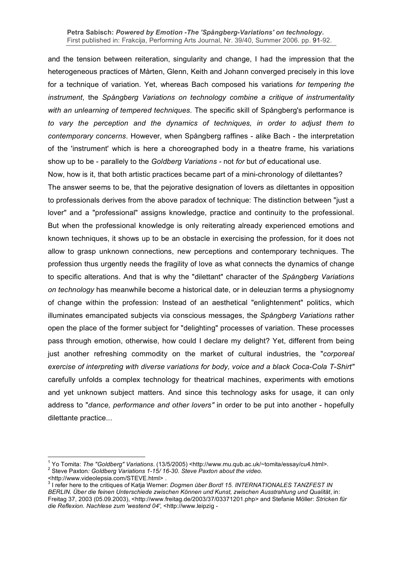#### **Petra Sabisch:** *Powered by Emotion -The 'Spångberg-Variations' on technology***.** First published in: Frakcija, Performing Arts Journal, Nr. 39/40, Summer 2006. pp. 91-92.

and the tension between reiteration, singularity and change, I had the impression that the heterogeneous practices of Mårten, Glenn, Keith and Johann converged precisely in this love for a technique of variation. Yet, whereas Bach composed his variations *for tempering the instrument*, the *Spångberg Variations on technology combine a critique of instrumentality with an unlearning of tempered techniques*. The specific skill of Spångberg's performance is *to vary the perception and the dynamics of techniques, in order to adjust them to contemporary concerns*. However, when Spångberg raffines - alike Bach - the interpretation of the 'instrument' which is here a choreographed body in a theatre frame, his variations show up to be - parallely to the *Goldberg Variations -* not *for* but *of* educational use.

Now, how is it, that both artistic practices became part of a mini-chronology of dilettantes? The answer seems to be, that the pejorative designation of lovers as dilettantes in opposition to professionals derives from the above paradox of technique: The distinction between "just a lover" and a "professional" assigns knowledge, practice and continuity to the professional. But when the professional knowledge is only reiterating already experienced emotions and known techniques, it shows up to be an obstacle in exercising the profession, for it does not allow to grasp unknown connections, new perceptions and contemporary techniques. The profession thus urgently needs the fragility of love as what connects the dynamics of change to specific alterations. And that is why the "dilettant" character of the *Spångberg Variations on technology* has meanwhile become a historical date, or in deleuzian terms a physiognomy of change within the profession: Instead of an aesthetical "enlightenment" politics, which illuminates emancipated subjects via conscious messages, the *Spångberg Variations* rather open the place of the former subject for "delighting" processes of variation. These processes pass through emotion, otherwise, how could I declare my delight? Yet, different from being just another refreshing commodity on the market of cultural industries, the "*corporeal exercise of interpreting with diverse variations for body, voice and a black Coca-Cola T-Shirt"* carefully unfolds a complex technology for theatrical machines, experiments with emotions and yet unknown subject matters. And since this technology asks for usage, it can only address to "*dance, performance and other lovers"* in order to be put into another - hopefully dilettante practice...

<sup>&</sup>lt;sup>1</sup> Yo Tomita: *The "Goldberg" Variations.* (13/5/2005) <http://www.mu.qub.ac.uk/~tomita/essay/cu4.html>.<br><sup>2</sup> Steve Paxton: *Goldberg Variations 1-15/16-30. Steve Paxton about the video.*<br><http://www.videolepsia.com/STEVE.

<sup>3</sup> I refer here to the critiques of Katja Werner: *Dogmen über Bord! 15. INTERNATIONALES TANZFEST IN BERLIN. Über die feinen Unterschiede zwischen Können und Kunst, zwischen Ausstrahlung und Qualität*, in: Freitag 37, 2003 (05.09.2003), <http://www.freitag.de/2003/37/03371201.php> and Stefanie Möller: *Stricken für die Reflexion. Nachlese zum 'westend 04'*, <http://www.leipzig -